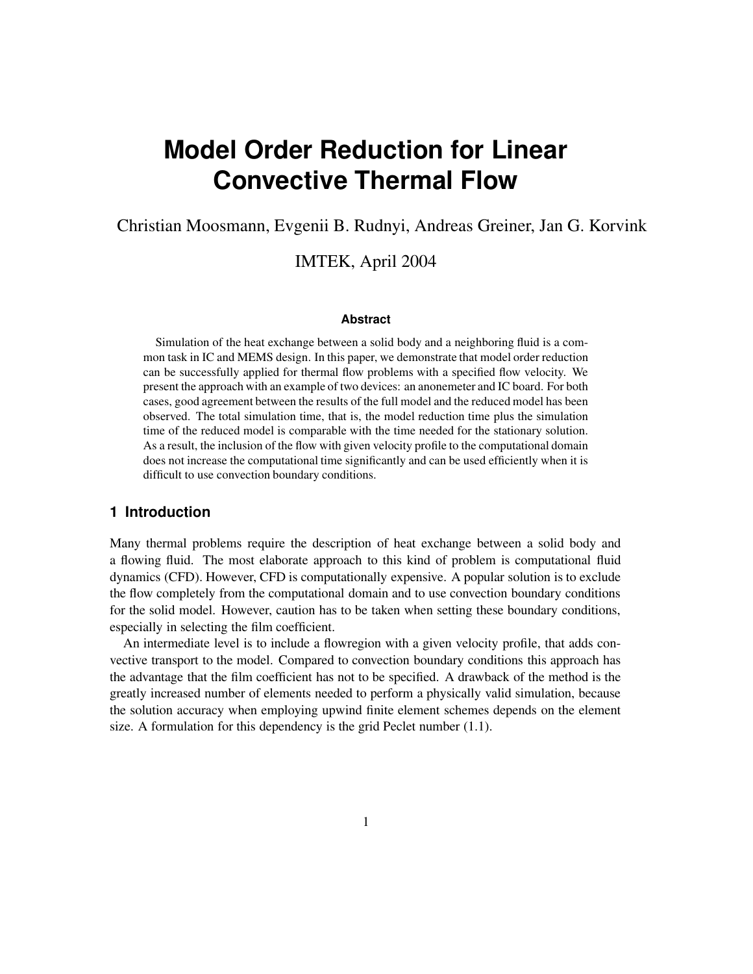# **Model Order Reduction for Linear Convective Thermal Flow**

Christian Moosmann, Evgenii B. Rudnyi, Andreas Greiner, Jan G. Korvink

## IMTEK, April 2004

#### **Abstract**

Simulation of the heat exchange between a solid body and a neighboring fluid is a common task in IC and MEMS design. In this paper, we demonstrate that model order reduction can be successfully applied for thermal flow problems with a specified flow velocity. We present the approach with an example of two devices: an anonemeter and IC board. For both cases, good agreement between the results of the full model and the reduced model has been observed. The total simulation time, that is, the model reduction time plus the simulation time of the reduced model is comparable with the time needed for the stationary solution. As a result, the inclusion of the flow with given velocity profile to the computational domain does not increase the computational time significantly and can be used efficiently when it is difficult to use convection boundary conditions.

## **1 Introduction**

Many thermal problems require the description of heat exchange between a solid body and a flowing fluid. The most elaborate approach to this kind of problem is computational fluid dynamics (CFD). However, CFD is computationally expensive. A popular solution is to exclude the flow completely from the computational domain and to use convection boundary conditions for the solid model. However, caution has to be taken when setting these boundary conditions, especially in selecting the film coefficient.

An intermediate level is to include a flowregion with a given velocity profile, that adds convective transport to the model. Compared to convection boundary conditions this approach has the advantage that the film coefficient has not to be specified. A drawback of the method is the greatly increased number of elements needed to perform a physically valid simulation, because the solution accuracy when employing upwind finite element schemes depends on the element size. A formulation for this dependency is the grid Peclet number (1.1).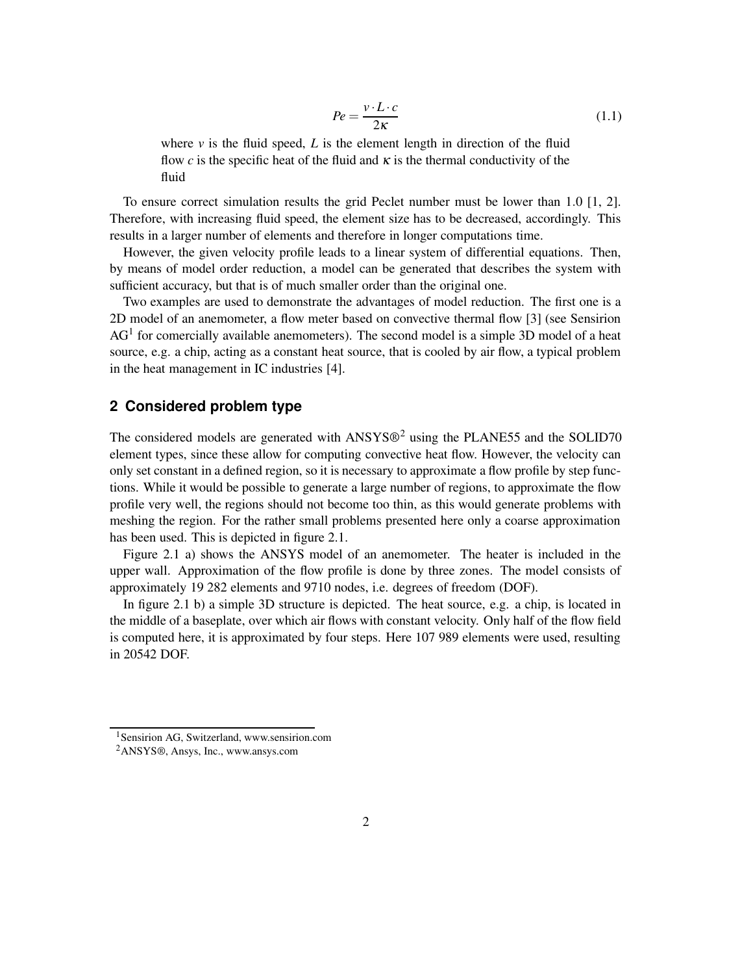$$
Pe = \frac{v \cdot L \cdot c}{2\kappa} \tag{1.1}
$$

where  $\nu$  is the fluid speed,  $L$  is the element length in direction of the fluid flow *c* is the specific heat of the fluid and  $\kappa$  is the thermal conductivity of the fluid

To ensure correct simulation results the grid Peclet number must be lower than 1.0 [1, 2]. Therefore, with increasing fluid speed, the element size has to be decreased, accordingly. This results in a larger number of elements and therefore in longer computations time.

However, the given velocity profile leads to a linear system of differential equations. Then, by means of model order reduction, a model can be generated that describes the system with sufficient accuracy, but that is of much smaller order than the original one.

Two examples are used to demonstrate the advantages of model reduction. The first one is a 2D model of an anemometer, a flow meter based on convective thermal flow [3] (see Sensirion  $AG<sup>1</sup>$  for comercially available anemometers). The second model is a simple 3D model of a heat source, e.g. a chip, acting as a constant heat source, that is cooled by air flow, a typical problem in the heat management in IC industries [4].

## **2 Considered problem type**

The considered models are generated with  $ANSYS@<sup>2</sup>$  using the PLANE55 and the SOLID70 element types, since these allow for computing convective heat flow. However, the velocity can only set constant in a defined region, so it is necessary to approximate a flow profile by step functions. While it would be possible to generate a large number of regions, to approximate the flow profile very well, the regions should not become too thin, as this would generate problems with meshing the region. For the rather small problems presented here only a coarse approximation has been used. This is depicted in figure 2.1.

Figure 2.1 a) shows the ANSYS model of an anemometer. The heater is included in the upper wall. Approximation of the flow profile is done by three zones. The model consists of approximately 19 282 elements and 9710 nodes, i.e. degrees of freedom (DOF).

In figure 2.1 b) a simple 3D structure is depicted. The heat source, e.g. a chip, is located in the middle of a baseplate, over which air flows with constant velocity. Only half of the flow field is computed here, it is approximated by four steps. Here 107 989 elements were used, resulting in 20542 DOF.

<sup>1</sup>Sensirion AG, Switzerland, www.sensirion.com

<sup>2</sup>ANSYS®, Ansys, Inc., www.ansys.com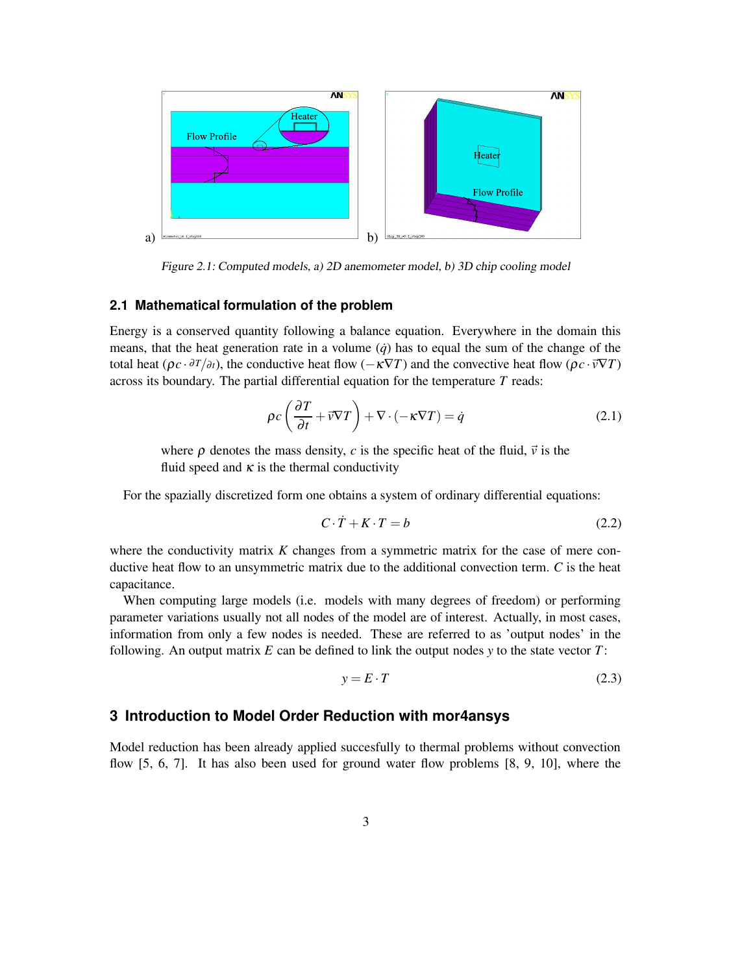

Figure 2.1: Computed models, a) 2D anemometer model, b) 3D chip cooling model

#### **2.1 Mathematical formulation of the problem**

Energy is a conserved quantity following a balance equation. Everywhere in the domain this means, that the heat generation rate in a volume  $(\dot{q})$  has to equal the sum of the change of the total heat ( $\rho c \cdot \partial T/\partial t$ ), the conductive heat flow ( $-\kappa \nabla T$ ) and the convective heat flow ( $\rho c \cdot \vec{v} \nabla T$ ) across its boundary. The partial differential equation for the temperature *T* reads:

$$
\rho c \left( \frac{\partial T}{\partial t} + \vec{v} \nabla T \right) + \nabla \cdot (-\kappa \nabla T) = \dot{q}
$$
\n(2.1)

where  $\rho$  denotes the mass density, *c* is the specific heat of the fluid,  $\vec{v}$  is the fluid speed and  $\kappa$  is the thermal conductivity

For the spazially discretized form one obtains a system of ordinary differential equations:

$$
C \cdot \dot{T} + K \cdot T = b \tag{2.2}
$$

where the conductivity matrix *K* changes from a symmetric matrix for the case of mere conductive heat flow to an unsymmetric matrix due to the additional convection term. *C* is the heat capacitance.

When computing large models (i.e. models with many degrees of freedom) or performing parameter variations usually not all nodes of the model are of interest. Actually, in most cases, information from only a few nodes is needed. These are referred to as 'output nodes' in the following. An output matrix *E* can be defined to link the output nodes *y* to the state vector *T*:

$$
y = E \cdot T \tag{2.3}
$$

## **3 Introduction to Model Order Reduction with mor4ansys**

Model reduction has been already applied succesfully to thermal problems without convection flow [5, 6, 7]. It has also been used for ground water flow problems [8, 9, 10], where the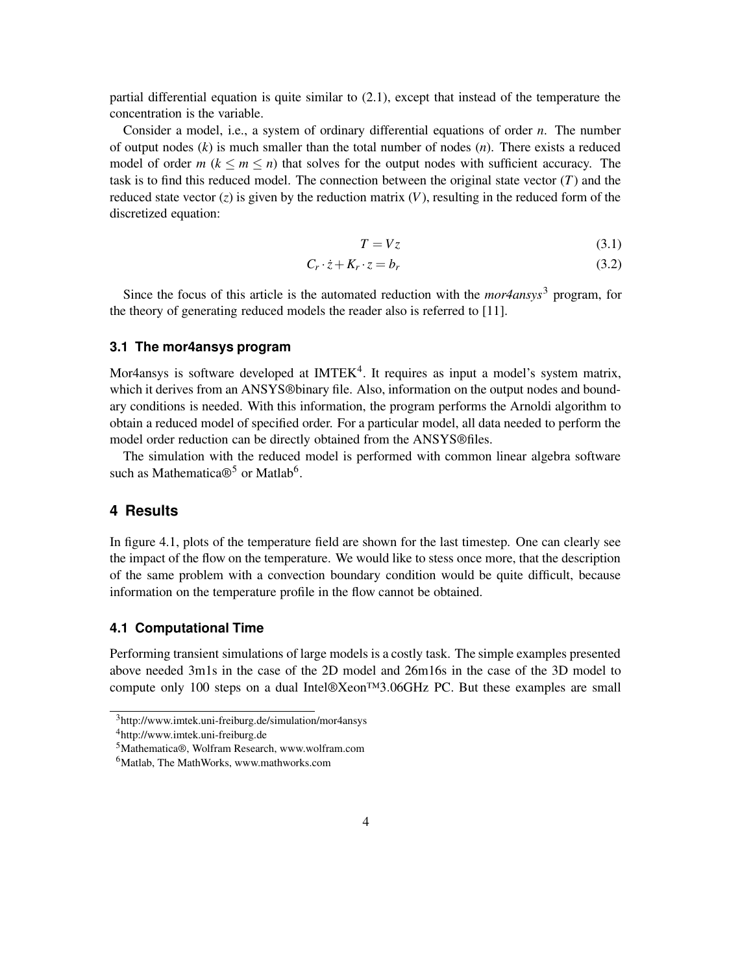partial differential equation is quite similar to (2.1), except that instead of the temperature the concentration is the variable.

Consider a model, i.e., a system of ordinary differential equations of order *n*. The number of output nodes (*k*) is much smaller than the total number of nodes (*n*). There exists a reduced model of order  $m (k \le m \le n)$  that solves for the output nodes with sufficient accuracy. The task is to find this reduced model. The connection between the original state vector (*T*) and the reduced state vector  $(z)$  is given by the reduction matrix  $(V)$ , resulting in the reduced form of the discretized equation:

$$
T = Vz \tag{3.1}
$$

$$
C_r \cdot \dot{z} + K_r \cdot z = b_r \tag{3.2}
$$

Since the focus of this article is the automated reduction with the *mor4ansys*<sup>3</sup> program, for the theory of generating reduced models the reader also is referred to [11].

#### **3.1 The mor4ansys program**

Mor4ansys is software developed at IMTEK<sup>4</sup>. It requires as input a model's system matrix, which it derives from an ANSYS®binary file. Also, information on the output nodes and boundary conditions is needed. With this information, the program performs the Arnoldi algorithm to obtain a reduced model of specified order. For a particular model, all data needed to perform the model order reduction can be directly obtained from the ANSYS®files.

The simulation with the reduced model is performed with common linear algebra software such as Mathematica $\mathbb{B}^5$  or Matlab<sup>6</sup>.

## **4 Results**

In figure 4.1, plots of the temperature field are shown for the last timestep. One can clearly see the impact of the flow on the temperature. We would like to stess once more, that the description of the same problem with a convection boundary condition would be quite difficult, because information on the temperature profile in the flow cannot be obtained.

## **4.1 Computational Time**

Performing transient simulations of large models is a costly task. The simple examples presented above needed 3m1s in the case of the 2D model and 26m16s in the case of the 3D model to compute only 100 steps on a dual Intel®Xeon™3.06GHz PC. But these examples are small

<sup>3</sup>http://www.imtek.uni-freiburg.de/simulation/mor4ansys

<sup>4</sup>http://www.imtek.uni-freiburg.de

<sup>5</sup>Mathematica®, Wolfram Research, www.wolfram.com

<sup>6</sup>Matlab, The MathWorks, www.mathworks.com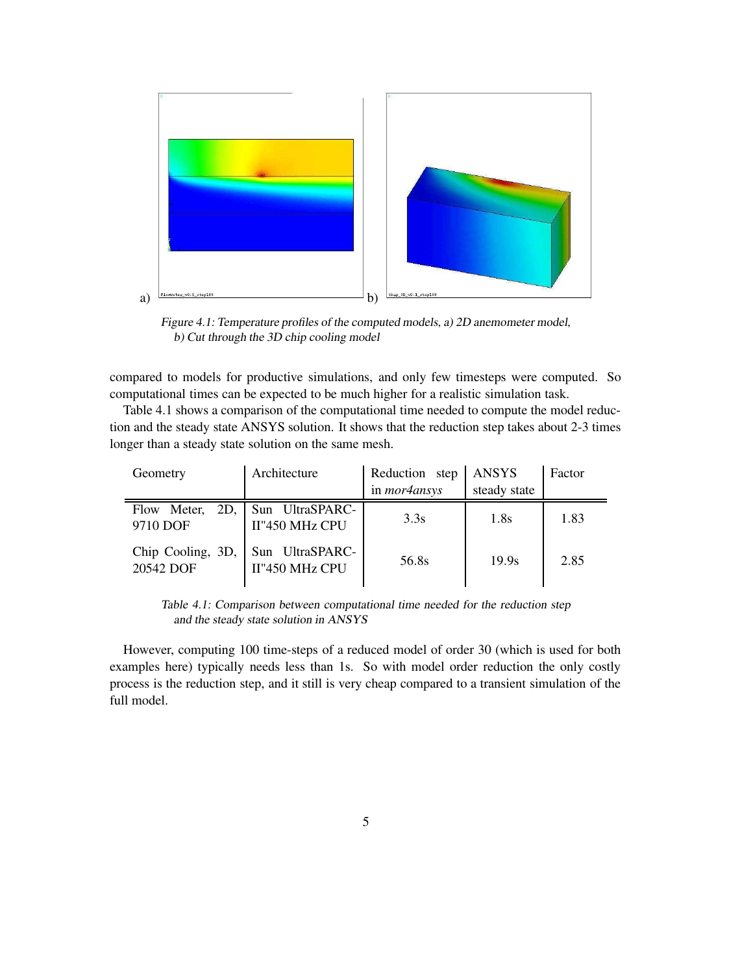

Figure 4.1: Temperature profiles of the computed models, a) 2D anemometer model, b) Cut through the 3D chip cooling model

compared to models for productive simulations, and only few timesteps were computed. So computational times can be expected to be much higher for a realistic simulation task.

Table 4.1 shows a comparison of the computational time needed to compute the model reduction and the steady state ANSYS solution. It shows that the reduction step takes about 2-3 times longer than a steady state solution on the same mesh.

| Geometry                          | Architecture                                      | Reduction step<br>in <i>mor4ansys</i> | ANSYS<br>steady state | Factor |
|-----------------------------------|---------------------------------------------------|---------------------------------------|-----------------------|--------|
| 9710 DOF                          | Flow Meter, 2D, Sun UltraSPARC-<br>II"450 MHz CPU | 3.3s                                  | 1.8s                  | 1.83   |
| Chip Cooling, $3D$ ,<br>20542 DOF | Sun UltraSPARC-<br>II"450 MHz CPU                 | 56.8s                                 | 19.9s                 | 2.85   |

Table 4.1: Comparison between computational time needed for the reduction step and the steady state solution in ANSYS

However, computing 100 time-steps of a reduced model of order 30 (which is used for both examples here) typically needs less than 1s. So with model order reduction the only costly process is the reduction step, and it still is very cheap compared to a transient simulation of the full model.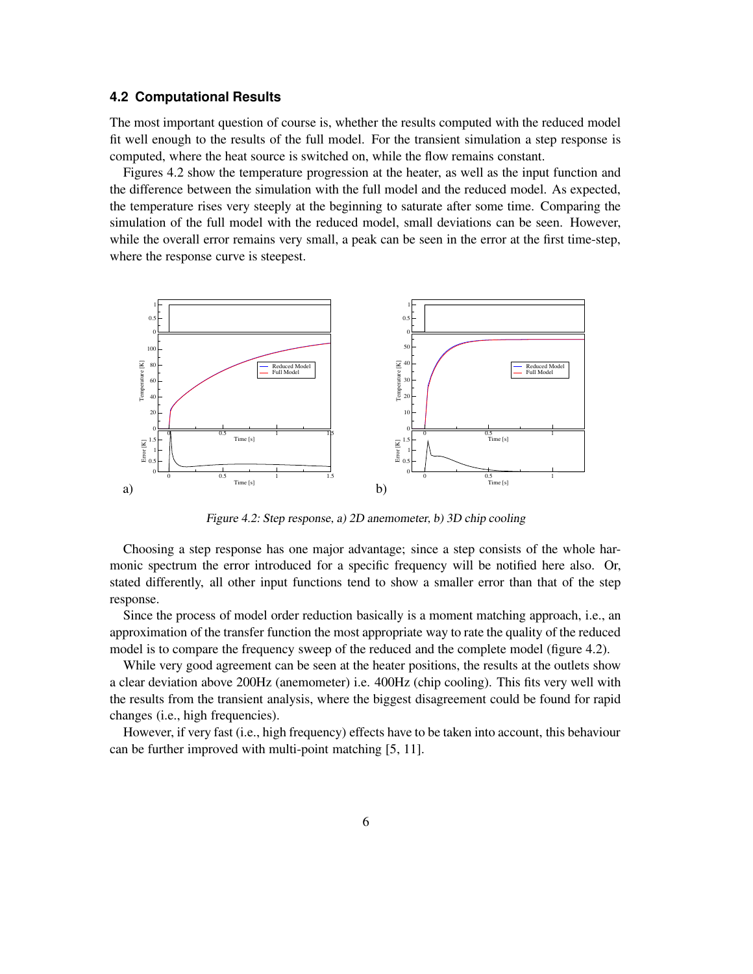#### **4.2 Computational Results**

The most important question of course is, whether the results computed with the reduced model fit well enough to the results of the full model. For the transient simulation a step response is computed, where the heat source is switched on, while the flow remains constant.

Figures 4.2 show the temperature progression at the heater, as well as the input function and the difference between the simulation with the full model and the reduced model. As expected, the temperature rises very steeply at the beginning to saturate after some time. Comparing the simulation of the full model with the reduced model, small deviations can be seen. However, while the overall error remains very small, a peak can be seen in the error at the first time-step, where the response curve is steepest.



Figure 4.2: Step response, a) 2D anemometer, b) 3D chip cooling

Choosing a step response has one major advantage; since a step consists of the whole harmonic spectrum the error introduced for a specific frequency will be notified here also. Or, stated differently, all other input functions tend to show a smaller error than that of the step response.

Since the process of model order reduction basically is a moment matching approach, i.e., an approximation of the transfer function the most appropriate way to rate the quality of the reduced model is to compare the frequency sweep of the reduced and the complete model (figure 4.2).

While very good agreement can be seen at the heater positions, the results at the outlets show a clear deviation above 200Hz (anemometer) i.e. 400Hz (chip cooling). This fits very well with the results from the transient analysis, where the biggest disagreement could be found for rapid changes (i.e., high frequencies).

However, if very fast (i.e., high frequency) effects have to be taken into account, this behaviour can be further improved with multi-point matching [5, 11].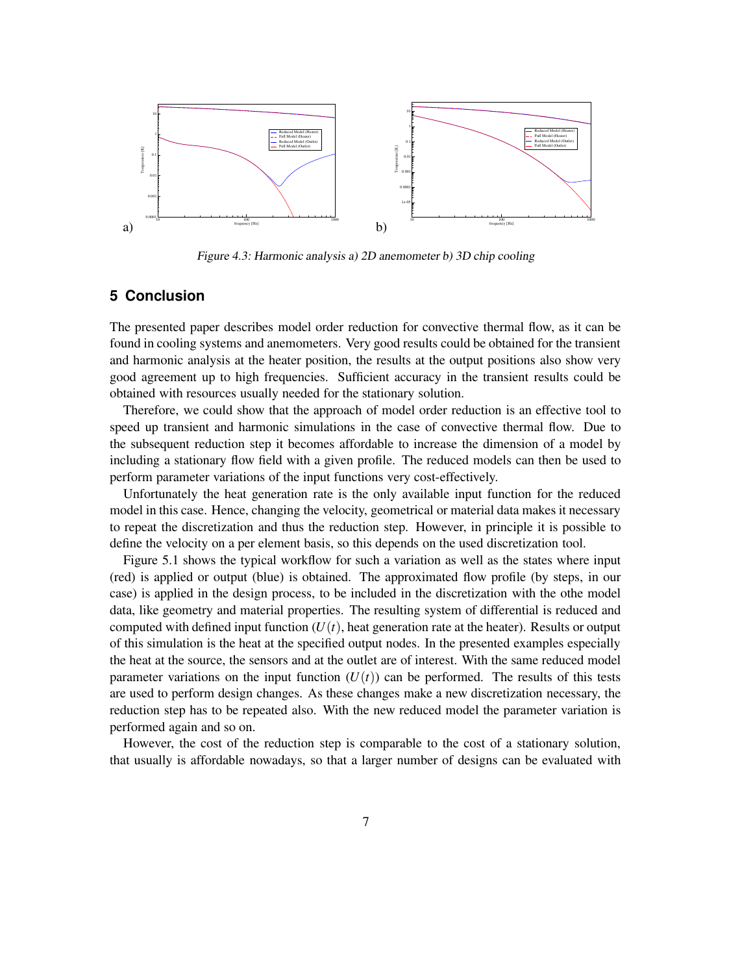

Figure 4.3: Harmonic analysis a) 2D anemometer b) 3D chip cooling

## **5 Conclusion**

The presented paper describes model order reduction for convective thermal flow, as it can be found in cooling systems and anemometers. Very good results could be obtained for the transient and harmonic analysis at the heater position, the results at the output positions also show very good agreement up to high frequencies. Sufficient accuracy in the transient results could be obtained with resources usually needed for the stationary solution.

Therefore, we could show that the approach of model order reduction is an effective tool to speed up transient and harmonic simulations in the case of convective thermal flow. Due to the subsequent reduction step it becomes affordable to increase the dimension of a model by including a stationary flow field with a given profile. The reduced models can then be used to perform parameter variations of the input functions very cost-effectively.

Unfortunately the heat generation rate is the only available input function for the reduced model in this case. Hence, changing the velocity, geometrical or material data makes it necessary to repeat the discretization and thus the reduction step. However, in principle it is possible to define the velocity on a per element basis, so this depends on the used discretization tool.

Figure 5.1 shows the typical workflow for such a variation as well as the states where input (red) is applied or output (blue) is obtained. The approximated flow profile (by steps, in our case) is applied in the design process, to be included in the discretization with the othe model data, like geometry and material properties. The resulting system of differential is reduced and computed with defined input function  $(U(t))$ , heat generation rate at the heater). Results or output of this simulation is the heat at the specified output nodes. In the presented examples especially the heat at the source, the sensors and at the outlet are of interest. With the same reduced model parameter variations on the input function  $(U(t))$  can be performed. The results of this tests are used to perform design changes. As these changes make a new discretization necessary, the reduction step has to be repeated also. With the new reduced model the parameter variation is performed again and so on.

However, the cost of the reduction step is comparable to the cost of a stationary solution, that usually is affordable nowadays, so that a larger number of designs can be evaluated with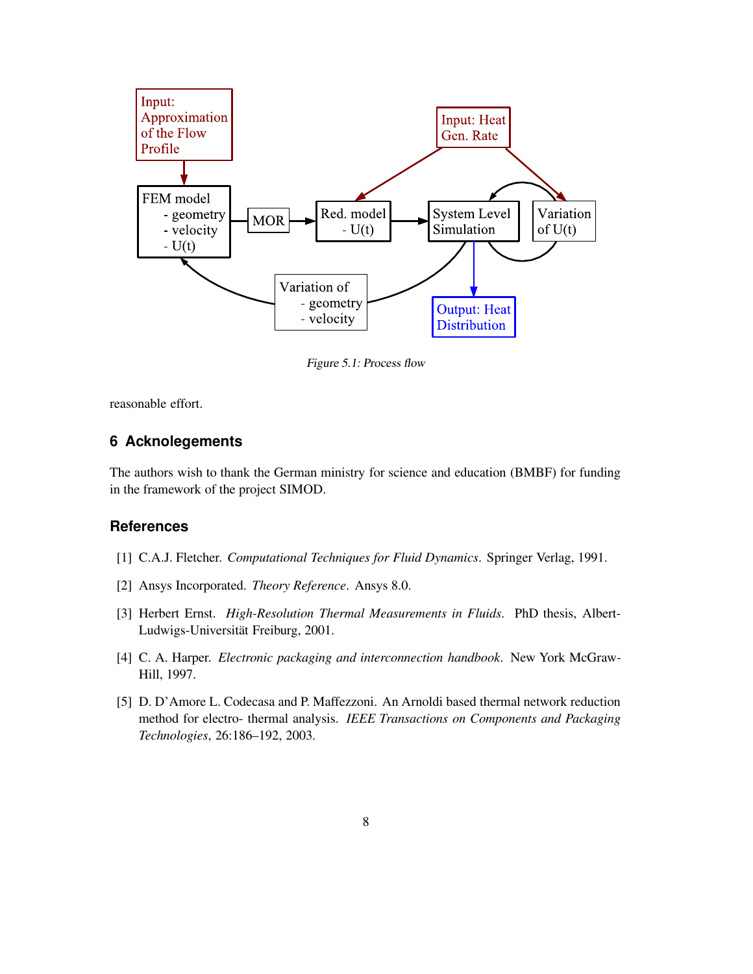

Figure 5.1: Process flow

reasonable effort.

## **6 Acknolegements**

The authors wish to thank the German ministry for science and education (BMBF) for funding in the framework of the project SIMOD.

## **References**

- [1] C.A.J. Fletcher. *Computational Techniques for Fluid Dynamics*. Springer Verlag, 1991.
- [2] Ansys Incorporated. *Theory Reference*. Ansys 8.0.
- [3] Herbert Ernst. *High-Resolution Thermal Measurements in Fluids*. PhD thesis, Albert-Ludwigs-Universität Freiburg, 2001.
- [4] C. A. Harper. *Electronic packaging and interconnection handbook*. New York McGraw-Hill, 1997.
- [5] D. D'Amore L. Codecasa and P. Maffezzoni. An Arnoldi based thermal network reduction method for electro- thermal analysis. *IEEE Transactions on Components and Packaging Technologies*, 26:186–192, 2003.